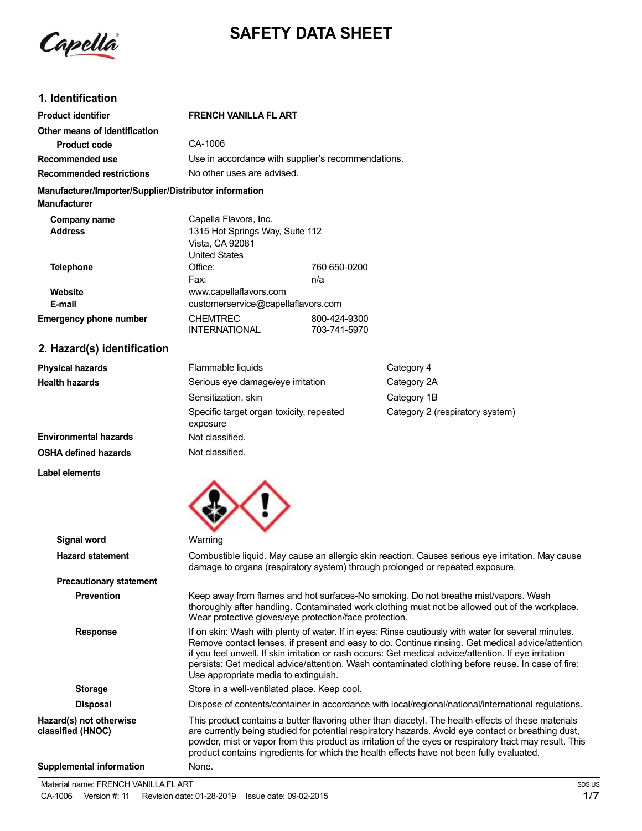

# **SAFETY DATA SHEET**

# **1. Identification**

| <b>Product identifier</b>                                                     | <b>FRENCH VANILLA FL ART</b>                                               |                              |                                 |
|-------------------------------------------------------------------------------|----------------------------------------------------------------------------|------------------------------|---------------------------------|
| Other means of identification                                                 |                                                                            |                              |                                 |
| <b>Product code</b>                                                           | CA-1006                                                                    |                              |                                 |
| Recommended use                                                               | Use in accordance with supplier's recommendations.                         |                              |                                 |
| <b>Recommended restrictions</b>                                               | No other uses are advised.                                                 |                              |                                 |
| Manufacturer/Importer/Supplier/Distributor information<br><b>Manufacturer</b> |                                                                            |                              |                                 |
| Company name                                                                  | Capella Flavors, Inc.                                                      |                              |                                 |
| <b>Address</b>                                                                | 1315 Hot Springs Way, Suite 112<br>Vista, CA 92081<br><b>United States</b> |                              |                                 |
| <b>Telephone</b>                                                              | Office:                                                                    | 760 650-0200                 |                                 |
|                                                                               | Fax:                                                                       | n/a                          |                                 |
| Website                                                                       | www.capellaflavors.com                                                     |                              |                                 |
| E-mail                                                                        | customerservice@capellaflavors.com                                         |                              |                                 |
| <b>Emergency phone number</b>                                                 | <b>CHEMTREC</b><br><b>INTERNATIONAL</b>                                    | 800-424-9300<br>703-741-5970 |                                 |
| 2. Hazard(s) identification                                                   |                                                                            |                              |                                 |
| <b>Physical hazards</b>                                                       | Flammable liquids                                                          |                              | Category 4                      |
| <b>Health hazards</b>                                                         | Serious eye damage/eye irritation                                          |                              | Category 2A                     |
|                                                                               | Sensitization, skin                                                        |                              | Category 1B                     |
|                                                                               | Specific target organ toxicity, repeated<br>exposure                       |                              | Category 2 (respiratory system) |

**Environmental hazards OSHA defined hazards**

**Label elements**



Not classified. Not classified.

| Signal word                                  | Warning                                                                                                                                                                                                                                                                                                                                                                                                                                                        |
|----------------------------------------------|----------------------------------------------------------------------------------------------------------------------------------------------------------------------------------------------------------------------------------------------------------------------------------------------------------------------------------------------------------------------------------------------------------------------------------------------------------------|
| <b>Hazard statement</b>                      | Combustible liquid. May cause an allergic skin reaction. Causes serious eye irritation. May cause<br>damage to organs (respiratory system) through prolonged or repeated exposure.                                                                                                                                                                                                                                                                             |
| <b>Precautionary statement</b>               |                                                                                                                                                                                                                                                                                                                                                                                                                                                                |
| <b>Prevention</b>                            | Keep away from flames and hot surfaces-No smoking. Do not breathe mist/vapors. Wash<br>thoroughly after handling. Contaminated work clothing must not be allowed out of the workplace.<br>Wear protective gloves/eye protection/face protection.                                                                                                                                                                                                               |
| <b>Response</b>                              | If on skin: Wash with plenty of water. If in eyes: Rinse cautiously with water for several minutes.<br>Remove contact lenses, if present and easy to do. Continue rinsing. Get medical advice/attention<br>if you feel unwell. If skin irritation or rash occurs: Get medical advice/attention. If eye irritation<br>persists: Get medical advice/attention. Wash contaminated clothing before reuse. In case of fire:<br>Use appropriate media to extinguish. |
| <b>Storage</b>                               | Store in a well-ventilated place. Keep cool.                                                                                                                                                                                                                                                                                                                                                                                                                   |
| <b>Disposal</b>                              | Dispose of contents/container in accordance with local/regional/national/international regulations.                                                                                                                                                                                                                                                                                                                                                            |
| Hazard(s) not otherwise<br>classified (HNOC) | This product contains a butter flavoring other than diacetyl. The health effects of these materials<br>are currently being studied for potential respiratory hazards. Avoid eye contact or breathing dust,<br>powder, mist or vapor from this product as irritation of the eyes or respiratory tract may result. This<br>product contains ingredients for which the health effects have not been fully evaluated.                                              |
| Supplemental information                     | None.                                                                                                                                                                                                                                                                                                                                                                                                                                                          |
|                                              |                                                                                                                                                                                                                                                                                                                                                                                                                                                                |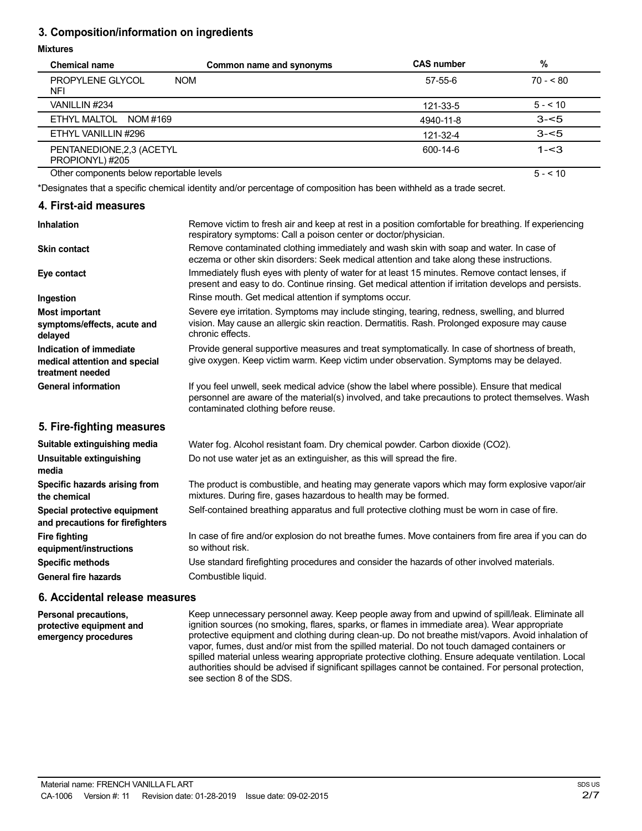# **3. Composition/information on ingredients**

#### **Mixtures**

| <b>Chemical name</b>                         | Common name and synonyms                                                                                                                                                                               | <b>CAS number</b> | %         |
|----------------------------------------------|--------------------------------------------------------------------------------------------------------------------------------------------------------------------------------------------------------|-------------------|-----------|
| <b>PROPYLENE GLYCOL</b><br><b>NFI</b>        | <b>NOM</b>                                                                                                                                                                                             | 57-55-6           | $70 - 80$ |
| VANILLIN #234                                |                                                                                                                                                                                                        | 121-33-5          | $5 - 10$  |
| ETHYL MALTOL<br>NOM #169                     |                                                                                                                                                                                                        | 4940-11-8         | $3 - 5$   |
| ETHYL VANILLIN #296                          |                                                                                                                                                                                                        | 121-32-4          | $3 - 5$   |
| PENTANEDIONE, 2,3 (ACETYL<br>PROPIONYL) #205 |                                                                                                                                                                                                        | 600-14-6          | $1 - 3$   |
| Other components below reportable levels     |                                                                                                                                                                                                        |                   | $5 - 10$  |
|                                              | *Designates that a specific chemical identity and/or percentage of composition has been withheld as a trade secret.                                                                                    |                   |           |
| 4. First-aid measures                        |                                                                                                                                                                                                        |                   |           |
| <b>Inhalation</b>                            | Remove victim to fresh air and keep at rest in a position comfortable for breathing. If experiencing<br>respiratory symptoms: Call a poison center or doctor/physician.                                |                   |           |
| <b>Skin contact</b>                          | Remove contaminated clothing immediately and wash skin with soap and water. In case of<br>eczema or other skin disorders: Seek medical attention and take along these instructions.                    |                   |           |
| Eye contact                                  | Immediately flush eyes with plenty of water for at least 15 minutes. Remove contact lenses, if<br>present and easy to do. Continue rinsing. Get medical attention if irritation develops and persists. |                   |           |
| Ingestion                                    | Rinse mouth. Get medical attention if symptoms occur.                                                                                                                                                  |                   |           |

Severe eye irritation. Symptoms may include stinging, tearing, redness, swelling, and blurred vision. May cause an allergic skin reaction. Dermatitis. Rash. Prolonged exposure may cause chronic effects.

Provide general supportive measures and treat symptomatically. In case of shortness of breath, give oxygen. Keep victim warm. Keep victim under observation. Symptoms may be delayed.

If you feel unwell, seek medical advice (show the label where possible). Ensure that medical personnel are aware of the material(s) involved, and take precautions to protect themselves. Wash contaminated clothing before reuse.

# **5. Fire-fighting measures**

**symptoms/effects, acute and**

**Indication of immediate medical attention and special**

**Most important**

**treatment needed General information**

**delayed**

| Suitable extinguishing media                                     | Water fog. Alcohol resistant foam. Dry chemical powder. Carbon dioxide (CO2).                                                                                     |
|------------------------------------------------------------------|-------------------------------------------------------------------------------------------------------------------------------------------------------------------|
| Unsuitable extinguishing<br>media                                | Do not use water jet as an extinguisher, as this will spread the fire.                                                                                            |
| Specific hazards arising from<br>the chemical                    | The product is combustible, and heating may generate vapors which may form explosive vapor/air<br>mixtures. During fire, gases hazardous to health may be formed. |
| Special protective equipment<br>and precautions for firefighters | Self-contained breathing apparatus and full protective clothing must be worn in case of fire.                                                                     |
| <b>Fire fighting</b><br>equipment/instructions                   | In case of fire and/or explosion do not breathe fumes. Move containers from fire area if you can do<br>so without risk.                                           |
| <b>Specific methods</b>                                          | Use standard firefighting procedures and consider the hazards of other involved materials.                                                                        |
| General fire hazards                                             | Combustible liquid.                                                                                                                                               |

### **6. Accidental release measures**

**Personal precautions, protective equipment and emergency procedures**

Keep unnecessary personnel away. Keep people away from and upwind of spill/leak. Eliminate all ignition sources (no smoking, flares, sparks, or flames in immediate area). Wear appropriate protective equipment and clothing during clean-up. Do not breathe mist/vapors. Avoid inhalation of vapor, fumes, dust and/or mist from the spilled material. Do not touch damaged containers or spilled material unless wearing appropriate protective clothing. Ensure adequate ventilation. Local authorities should be advised if significant spillages cannot be contained. For personal protection, see section 8 of the SDS.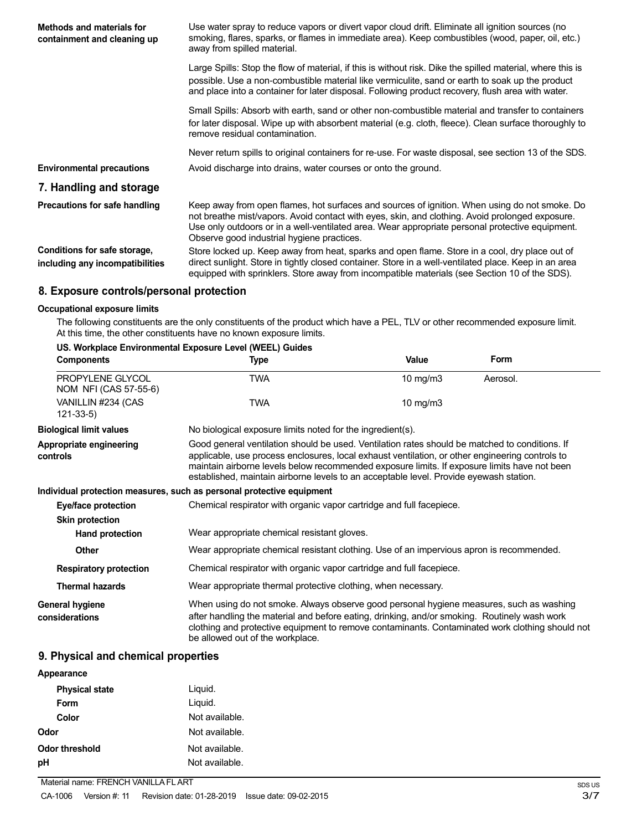| <b>Methods and materials for</b><br>containment and cleaning up | Use water spray to reduce vapors or divert vapor cloud drift. Eliminate all ignition sources (no<br>smoking, flares, sparks, or flames in immediate area). Keep combustibles (wood, paper, oil, etc.)<br>away from spilled material.                                                                                                              |
|-----------------------------------------------------------------|---------------------------------------------------------------------------------------------------------------------------------------------------------------------------------------------------------------------------------------------------------------------------------------------------------------------------------------------------|
|                                                                 | Large Spills: Stop the flow of material, if this is without risk. Dike the spilled material, where this is<br>possible. Use a non-combustible material like vermiculite, sand or earth to soak up the product<br>and place into a container for later disposal. Following product recovery, flush area with water.                                |
|                                                                 | Small Spills: Absorb with earth, sand or other non-combustible material and transfer to containers<br>for later disposal. Wipe up with absorbent material (e.g. cloth, fleece). Clean surface thoroughly to<br>remove residual contamination.                                                                                                     |
|                                                                 | Never return spills to original containers for re-use. For waste disposal, see section 13 of the SDS.                                                                                                                                                                                                                                             |
| <b>Environmental precautions</b>                                | Avoid discharge into drains, water courses or onto the ground.                                                                                                                                                                                                                                                                                    |
| 7. Handling and storage                                         |                                                                                                                                                                                                                                                                                                                                                   |
| Precautions for safe handling                                   | Keep away from open flames, hot surfaces and sources of ignition. When using do not smoke. Do<br>not breathe mist/vapors. Avoid contact with eyes, skin, and clothing. Avoid prolonged exposure.<br>Use only outdoors or in a well-ventilated area. Wear appropriate personal protective equipment.<br>Observe good industrial hygiene practices. |
| Conditions for safe storage,<br>including any incompatibilities | Store locked up. Keep away from heat, sparks and open flame. Store in a cool, dry place out of<br>direct sunlight. Store in tightly closed container. Store in a well-ventilated place. Keep in an area<br>equipped with sprinklers. Store away from incompatible materials (see Section 10 of the SDS).                                          |

# **8. Exposure controls/personal protection**

#### **Occupational exposure limits**

The following constituents are the only constituents of the product which have a PEL, TLV or other recommended exposure limit. At this time, the other constituents have no known exposure limits.

# **US. Workplace Environmental Exposure Level (WEEL) Guides**

| <b>Components</b>                         | <b>Type</b>                                                                                                                                                                                                                                                                                                                                                                                 | Value       | Form     |
|-------------------------------------------|---------------------------------------------------------------------------------------------------------------------------------------------------------------------------------------------------------------------------------------------------------------------------------------------------------------------------------------------------------------------------------------------|-------------|----------|
| PROPYLENE GLYCOL<br>NOM NFI (CAS 57-55-6) | <b>TWA</b>                                                                                                                                                                                                                                                                                                                                                                                  | 10 mg/m3    | Aerosol. |
| VANILLIN #234 (CAS<br>$121 - 33 - 5$      | <b>TWA</b>                                                                                                                                                                                                                                                                                                                                                                                  | 10 mg/m $3$ |          |
| <b>Biological limit values</b>            | No biological exposure limits noted for the ingredient(s).                                                                                                                                                                                                                                                                                                                                  |             |          |
| Appropriate engineering<br>controls       | Good general ventilation should be used. Ventilation rates should be matched to conditions. If<br>applicable, use process enclosures, local exhaust ventilation, or other engineering controls to<br>maintain airborne levels below recommended exposure limits. If exposure limits have not been<br>established, maintain airborne levels to an acceptable level. Provide eyewash station. |             |          |
|                                           | Individual protection measures, such as personal protective equipment                                                                                                                                                                                                                                                                                                                       |             |          |
| Eye/face protection                       | Chemical respirator with organic vapor cartridge and full facepiece.                                                                                                                                                                                                                                                                                                                        |             |          |
| <b>Skin protection</b>                    |                                                                                                                                                                                                                                                                                                                                                                                             |             |          |
| Hand protection                           | Wear appropriate chemical resistant gloves.                                                                                                                                                                                                                                                                                                                                                 |             |          |
| <b>Other</b>                              | Wear appropriate chemical resistant clothing. Use of an impervious apron is recommended.                                                                                                                                                                                                                                                                                                    |             |          |
| <b>Respiratory protection</b>             | Chemical respirator with organic vapor cartridge and full facepiece.                                                                                                                                                                                                                                                                                                                        |             |          |
| <b>Thermal hazards</b>                    | Wear appropriate thermal protective clothing, when necessary.                                                                                                                                                                                                                                                                                                                               |             |          |
| General hygiene<br>considerations         | When using do not smoke. Always observe good personal hygiene measures, such as washing<br>after handling the material and before eating, drinking, and/or smoking. Routinely wash work<br>clothing and protective equipment to remove contaminants. Contaminated work clothing should not<br>be allowed out of the workplace.                                                              |             |          |

# **9. Physical and chemical properties**

| Appearance            |                |
|-----------------------|----------------|
| <b>Physical state</b> | Liquid.        |
| Form                  | Liquid.        |
| Color                 | Not available. |
| Odor                  | Not available. |
| <b>Odor threshold</b> | Not available. |
| рH                    | Not available. |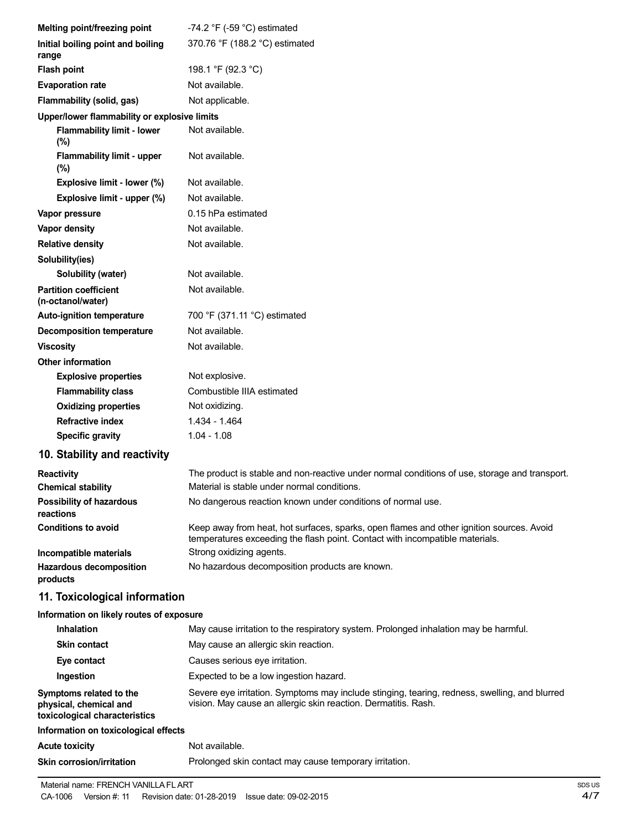| Melting point/freezing point                                                       | -74.2 $\degree$ F (-59 $\degree$ C) estimated                                                                                                                            |
|------------------------------------------------------------------------------------|--------------------------------------------------------------------------------------------------------------------------------------------------------------------------|
| Initial boiling point and boiling<br>range                                         | 370.76 °F (188.2 °C) estimated                                                                                                                                           |
| <b>Flash point</b>                                                                 | 198.1 °F (92.3 °C)                                                                                                                                                       |
| <b>Evaporation rate</b>                                                            | Not available.                                                                                                                                                           |
| Flammability (solid, gas)                                                          | Not applicable.                                                                                                                                                          |
| Upper/lower flammability or explosive limits                                       |                                                                                                                                                                          |
| <b>Flammability limit - lower</b><br>$(\%)$                                        | Not available.                                                                                                                                                           |
| <b>Flammability limit - upper</b><br>$(\%)$                                        | Not available.                                                                                                                                                           |
| Explosive limit - lower (%)                                                        | Not available.                                                                                                                                                           |
| Explosive limit - upper (%)                                                        | Not available.                                                                                                                                                           |
| Vapor pressure                                                                     | 0.15 hPa estimated                                                                                                                                                       |
| Vapor density                                                                      | Not available.                                                                                                                                                           |
| <b>Relative density</b>                                                            | Not available.                                                                                                                                                           |
| Solubility(ies)                                                                    |                                                                                                                                                                          |
| <b>Solubility (water)</b>                                                          | Not available.                                                                                                                                                           |
| <b>Partition coefficient</b><br>(n-octanol/water)                                  | Not available.                                                                                                                                                           |
| <b>Auto-ignition temperature</b>                                                   | 700 °F (371.11 °C) estimated                                                                                                                                             |
| <b>Decomposition temperature</b>                                                   | Not available.                                                                                                                                                           |
| <b>Viscosity</b>                                                                   | Not available.                                                                                                                                                           |
| <b>Other information</b>                                                           |                                                                                                                                                                          |
| <b>Explosive properties</b>                                                        | Not explosive.                                                                                                                                                           |
| <b>Flammability class</b>                                                          | Combustible IIIA estimated                                                                                                                                               |
| <b>Oxidizing properties</b>                                                        | Not oxidizing.                                                                                                                                                           |
| <b>Refractive index</b>                                                            | 1.434 - 1.464                                                                                                                                                            |
| <b>Specific gravity</b>                                                            | $1.04 - 1.08$                                                                                                                                                            |
| 10. Stability and reactivity                                                       |                                                                                                                                                                          |
| <b>Reactivity</b>                                                                  | The product is stable and non-reactive under normal conditions of use, storage and transport.                                                                            |
| <b>Chemical stability</b>                                                          | Material is stable under normal conditions.                                                                                                                              |
| <b>Possibility of hazardous</b><br>reactions                                       | No dangerous reaction known under conditions of normal use.                                                                                                              |
| <b>Conditions to avoid</b>                                                         | Keep away from heat, hot surfaces, sparks, open flames and other ignition sources. Avoid<br>temperatures exceeding the flash point. Contact with incompatible materials. |
| Incompatible materials                                                             | Strong oxidizing agents.                                                                                                                                                 |
| <b>Hazardous decomposition</b><br>products                                         | No hazardous decomposition products are known.                                                                                                                           |
| 11. Toxicological information                                                      |                                                                                                                                                                          |
| Information on likely routes of exposure                                           |                                                                                                                                                                          |
| Inhalation                                                                         | May cause irritation to the respiratory system. Prolonged inhalation may be harmful.                                                                                     |
| <b>Skin contact</b>                                                                | May cause an allergic skin reaction.                                                                                                                                     |
| Eye contact                                                                        | Causes serious eye irritation.                                                                                                                                           |
| Ingestion                                                                          | Expected to be a low ingestion hazard.                                                                                                                                   |
| Symptoms related to the<br>physical, chemical and<br>toxicological characteristics | Severe eye irritation. Symptoms may include stinging, tearing, redness, swelling, and blurred<br>vision. May cause an allergic skin reaction. Dermatitis. Rash.          |

# **Information on toxicological effects Acute toxicity** Not available. **Skin corrosion/irritation Prolonged skin contact may cause temporary irritation.**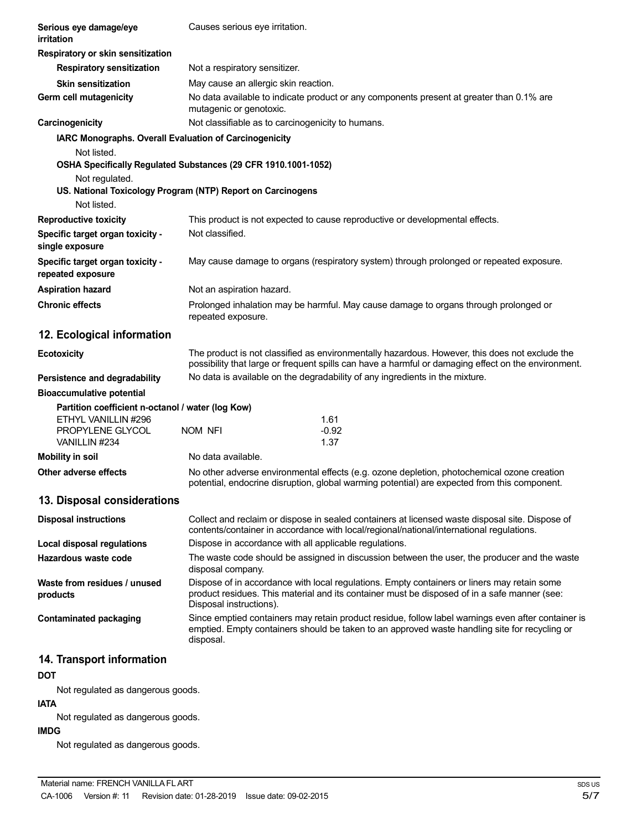| Serious eye damage/eye<br>irritation                   | Causes serious eye irritation.                                                                                                                                                                                         |  |
|--------------------------------------------------------|------------------------------------------------------------------------------------------------------------------------------------------------------------------------------------------------------------------------|--|
| Respiratory or skin sensitization                      |                                                                                                                                                                                                                        |  |
| <b>Respiratory sensitization</b>                       | Not a respiratory sensitizer.                                                                                                                                                                                          |  |
| <b>Skin sensitization</b>                              | May cause an allergic skin reaction.                                                                                                                                                                                   |  |
| Germ cell mutagenicity                                 | No data available to indicate product or any components present at greater than 0.1% are<br>mutagenic or genotoxic.                                                                                                    |  |
| Carcinogenicity                                        | Not classifiable as to carcinogenicity to humans.                                                                                                                                                                      |  |
| IARC Monographs. Overall Evaluation of Carcinogenicity |                                                                                                                                                                                                                        |  |
| Not listed.                                            |                                                                                                                                                                                                                        |  |
|                                                        | OSHA Specifically Regulated Substances (29 CFR 1910.1001-1052)                                                                                                                                                         |  |
| Not regulated.                                         |                                                                                                                                                                                                                        |  |
| Not listed.                                            | US. National Toxicology Program (NTP) Report on Carcinogens                                                                                                                                                            |  |
| <b>Reproductive toxicity</b>                           | This product is not expected to cause reproductive or developmental effects.                                                                                                                                           |  |
| Specific target organ toxicity -<br>single exposure    | Not classified.                                                                                                                                                                                                        |  |
| Specific target organ toxicity -<br>repeated exposure  | May cause damage to organs (respiratory system) through prolonged or repeated exposure.                                                                                                                                |  |
| <b>Aspiration hazard</b>                               | Not an aspiration hazard.                                                                                                                                                                                              |  |
| <b>Chronic effects</b>                                 | Prolonged inhalation may be harmful. May cause damage to organs through prolonged or<br>repeated exposure.                                                                                                             |  |
| 12. Ecological information                             |                                                                                                                                                                                                                        |  |
| <b>Ecotoxicity</b>                                     | The product is not classified as environmentally hazardous. However, this does not exclude the<br>possibility that large or frequent spills can have a harmful or damaging effect on the environment.                  |  |
| Persistence and degradability                          | No data is available on the degradability of any ingredients in the mixture.                                                                                                                                           |  |
| <b>Bioaccumulative potential</b>                       |                                                                                                                                                                                                                        |  |
| Partition coefficient n-octanol / water (log Kow)      |                                                                                                                                                                                                                        |  |
| ETHYL VANILLIN #296<br>PROPYLENE GLYCOL                | 1.61<br>NOM NFI<br>$-0.92$                                                                                                                                                                                             |  |
| VANILLIN #234                                          | 1.37                                                                                                                                                                                                                   |  |
| <b>Mobility in soil</b>                                | No data available.                                                                                                                                                                                                     |  |
| Other adverse effects                                  | No other adverse environmental effects (e.g. ozone depletion, photochemical ozone creation                                                                                                                             |  |
|                                                        | potential, endocrine disruption, global warming potential) are expected from this component.                                                                                                                           |  |
| 13. Disposal considerations                            |                                                                                                                                                                                                                        |  |
| <b>Disposal instructions</b>                           | Collect and reclaim or dispose in sealed containers at licensed waste disposal site. Dispose of<br>contents/container in accordance with local/regional/national/international regulations.                            |  |
| <b>Local disposal regulations</b>                      | Dispose in accordance with all applicable regulations.                                                                                                                                                                 |  |
| Hazardous waste code                                   | The waste code should be assigned in discussion between the user, the producer and the waste<br>disposal company.                                                                                                      |  |
| Waste from residues / unused<br>products               | Dispose of in accordance with local regulations. Empty containers or liners may retain some<br>product residues. This material and its container must be disposed of in a safe manner (see:<br>Disposal instructions). |  |
| <b>Contaminated packaging</b>                          | Since emptied containers may retain product residue, follow label warnings even after container is<br>emptied. Empty containers should be taken to an approved waste handling site for recycling or<br>disposal.       |  |
| 14. Transport information                              |                                                                                                                                                                                                                        |  |
| <b>DOT</b>                                             |                                                                                                                                                                                                                        |  |
|                                                        |                                                                                                                                                                                                                        |  |

Not regulated as dangerous goods.

**IATA**

Not regulated as dangerous goods.

# **IMDG**

Not regulated as dangerous goods.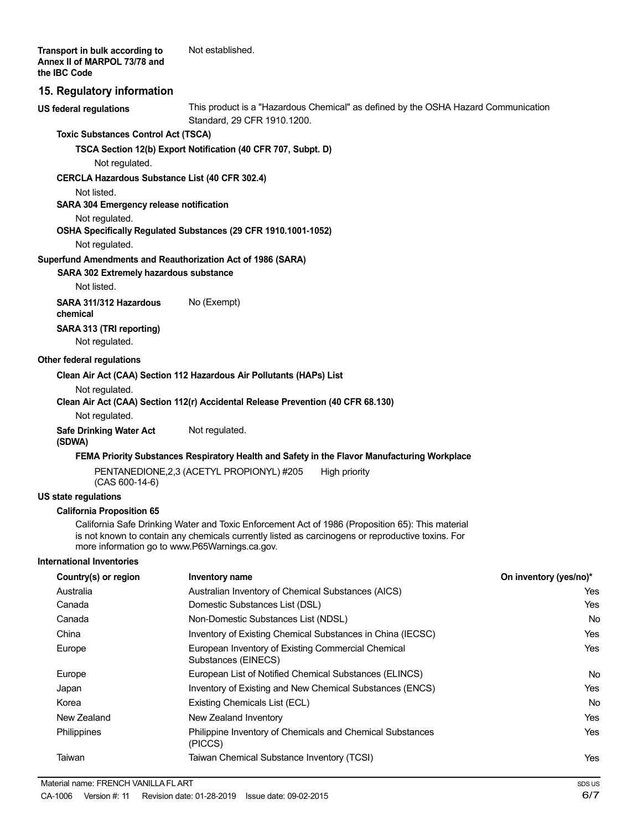# **15. Regulatory information**

**US federal regulations**

This product is a "Hazardous Chemical" as defined by the OSHA Hazard Communication Standard, 29 CFR 1910.1200.

#### **Toxic Substances Control Act (TSCA)**

**TSCA Section 12(b) Export Notification (40 CFR 707, Subpt. D)**

Not regulated.

#### **CERCLA Hazardous Substance List (40 CFR 302.4)**

Not listed.

# **SARA 304 Emergency release notification**

Not regulated.

# **OSHA Specifically Regulated Substances (29 CFR 1910.1001-1052)**

Not regulated.

#### **Superfund Amendments and Reauthorization Act of 1986 (SARA)**

**SARA 302 Extremely hazardous substance**

Not listed.

**SARA 311/312 Hazardous** No (Exempt) **chemical SARA 313 (TRI reporting)** Not regulated.

#### **Other federal regulations**

**Clean Air Act (CAA) Section 112 Hazardous Air Pollutants (HAPs) List**

Not regulated.

#### **Clean Air Act (CAA) Section 112(r) Accidental Release Prevention (40 CFR 68.130)**

Not regulated.

**Safe Drinking Water Act** Not regulated. **(SDWA)**

#### **FEMA Priority Substances Respiratory Health and Safety in the Flavor Manufacturing Workplace**

PENTANEDIONE, 2,3 (ACETYL PROPIONYL) #205 High priority (CAS 600-14-6)

#### **US state regulations**

#### **California Proposition 65**

California Safe Drinking Water and Toxic Enforcement Act of 1986 (Proposition 65): This material is not known to contain any chemicals currently listed as carcinogens or reproductive toxins. For more information go to www.P65Warnings.ca.gov.

#### **International Inventories**

| Country(s) or region | Inventory name                                                            | On inventory (yes/no)* |
|----------------------|---------------------------------------------------------------------------|------------------------|
| Australia            | Australian Inventory of Chemical Substances (AICS)                        | Yes                    |
| Canada               | Domestic Substances List (DSL)                                            | Yes                    |
| Canada               | Non-Domestic Substances List (NDSL)                                       | No                     |
| China                | Inventory of Existing Chemical Substances in China (IECSC)                | Yes                    |
| Europe               | European Inventory of Existing Commercial Chemical<br>Substances (EINECS) | Yes                    |
| Europe               | European List of Notified Chemical Substances (ELINCS)                    | No                     |
| Japan                | Inventory of Existing and New Chemical Substances (ENCS)                  | Yes                    |
| Korea                | Existing Chemicals List (ECL)                                             | No                     |
| New Zealand          | New Zealand Inventory                                                     | Yes                    |
| Philippines          | Philippine Inventory of Chemicals and Chemical Substances<br>(PICCS)      | Yes                    |
| Taiwan               | Taiwan Chemical Substance Inventory (TCSI)                                | Yes                    |